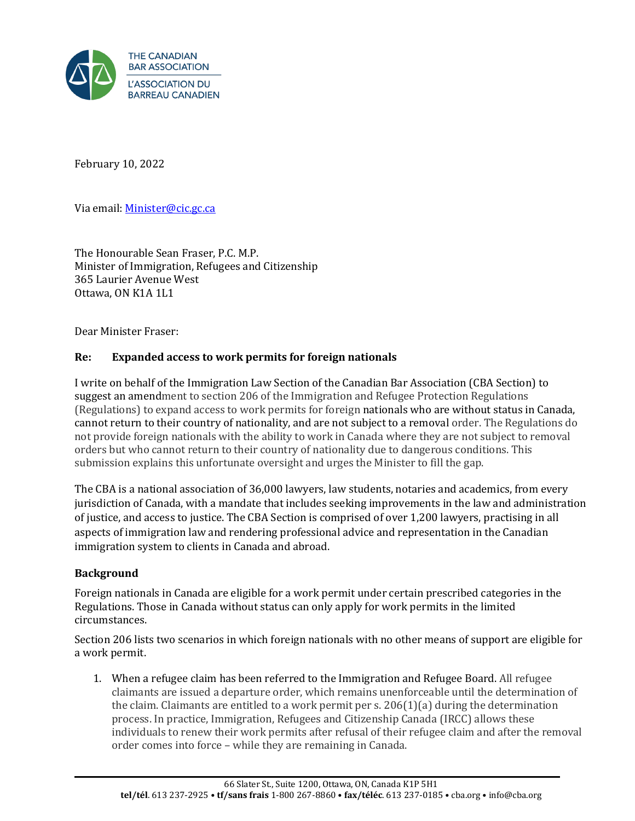

February 10, 2022

Via email[: Minister@cic.gc.ca](mailto:Minister@cic.gc.ca) 

The Honourable Sean Fraser, P.C. M.P. Minister of Immigration, Refugees and Citizenship 365 Laurier Avenue West Ottawa, ON K1A 1L1

Dear Minister Fraser:

## **Re: Expanded access to work permits for foreign nationals**

I write on behalf of the Immigration Law Section of the Canadian Bar Association (CBA Section) to suggest an amendment to section 206 of the Immigration and Refugee Protection Regulations (Regulations) to expand access to work permits for foreign nationals who are without status in Canada, cannot return to their country of nationality, and are not subject to a removal order. The Regulations do not provide foreign nationals with the ability to work in Canada where they are not subject to removal orders but who cannot return to their country of nationality due to dangerous conditions. This submission explains this unfortunate oversight and urges the Minister to fill the gap.

The CBA is a national association of 36,000 lawyers, law students, notaries and academics, from every jurisdiction of Canada, with a mandate that includes seeking improvements in the law and administration of justice, and access to justice. The CBA Section is comprised of over 1,200 lawyers, practising in all aspects of immigration law and rendering professional advice and representation in the Canadian immigration system to clients in Canada and abroad.

## **Background**

Foreign nationals in Canada are eligible for a work permit under certain prescribed categories in the Regulations. Those in Canada without status can only apply for work permits in the limited circumstances.

Section 206 lists two scenarios in which foreign nationals with no other means of support are eligible for a work permit.

1. When a refugee claim has been referred to the Immigration and Refugee Board. All refugee claimants are issued a departure order, which remains unenforceable until the determination of the claim. Claimants are entitled to a work permit per s.  $206(1)(a)$  during the determination process. In practice, Immigration, Refugees and Citizenship Canada (IRCC) allows these individuals to renew their work permits after refusal of their refugee claim and after the removal order comes into force – while they are remaining in Canada.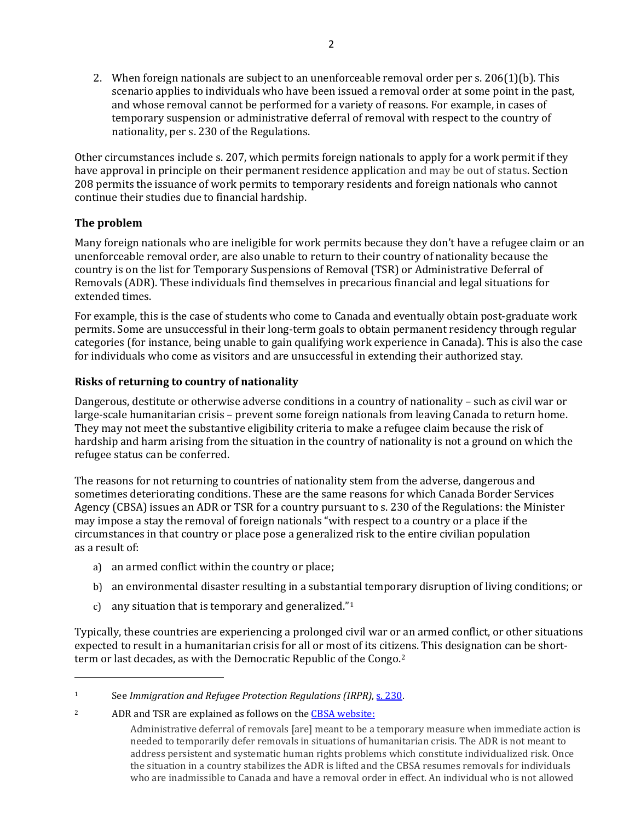2. When foreign nationals are subject to an unenforceable removal order per s. 206(1)(b). This scenario applies to individuals who have been issued a removal order at some point in the past, and whose removal cannot be performed for a variety of reasons. For example, in cases of temporary suspension or administrative deferral of removal with respect to the country of nationality, per s. 230 of the Regulations.

Other circumstances include s. 207, which permits foreign nationals to apply for a work permit if they have approval in principle on their permanent residence application and may be out of status. Section 208 permits the issuance of work permits to temporary residents and foreign nationals who cannot continue their studies due to financial hardship.

# **The problem**

Many foreign nationals who are ineligible for work permits because they don't have a refugee claim or an unenforceable removal order, are also unable to return to their country of nationality because the country is on the list for Temporary Suspensions of Removal (TSR) or Administrative Deferral of Removals (ADR). These individuals find themselves in precarious financial and legal situations for extended times.

For example, this is the case of students who come to Canada and eventually obtain post-graduate work permits. Some are unsuccessful in their long-term goals to obtain permanent residency through regular categories (for instance, being unable to gain qualifying work experience in Canada). This is also the case for individuals who come as visitors and are unsuccessful in extending their authorized stay.

# **Risks of returning to country of nationality**

Dangerous, destitute or otherwise adverse conditions in a country of nationality – such as civil war or large-scale humanitarian crisis – prevent some foreign nationals from leaving Canada to return home. They may not meet the substantive eligibility criteria to make a refugee claim because the risk of hardship and harm arising from the situation in the country of nationality is not a ground on which the refugee status can be conferred.

The reasons for not returning to countries of nationality stem from the adverse, dangerous and sometimes deteriorating conditions. These are the same reasons for which Canada Border Services Agency (CBSA) issues an ADR or TSR for a country pursuant to s. 230 of the Regulations: the Minister may impose a stay the removal of foreign nationals "with respect to a country or a place if the circumstances in that country or place pose a generalized risk to the entire civilian population as a result of:

- a) an armed conflict within the country or place;
- b) an environmental disaster resulting in a substantial temporary disruption of living conditions; or
- c) any situation that is temporary and generalized."1

Typically, these countries are experiencing a prolonged civil war or an armed conflict, or other situations expected to result in a humanitarian crisis for all or most of its citizens. This designation can be shortterm or last decades, as with the Democratic Republic of the Congo.<sup>2</sup>

<sup>2</sup> ADR and TSR are explained as follows on th[e CBSA website:](https://www.cbsa-asfc.gc.ca/security-securite/rem-ren-eng.html)

<sup>1</sup> See *Immigration and Refugee Protection Regulations (IRPR)*, [s. 230.](https://laws-lois.justice.gc.ca/eng/regulations/sor-2002-227/page-30.html#h-689421)

Administrative deferral of removals [are] meant to be a temporary measure when immediate action is needed to temporarily defer removals in situations of humanitarian crisis. The ADR is not meant to address persistent and systematic human rights problems which constitute individualized risk. Once the situation in a country stabilizes the ADR is lifted and the CBSA resumes removals for individuals who are inadmissible to Canada and have a removal order in effect. An individual who is not allowed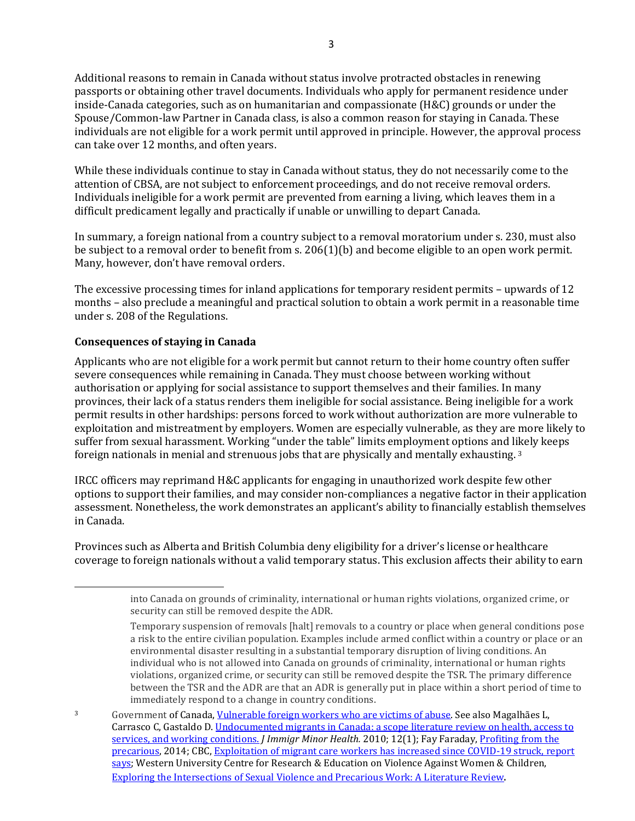Additional reasons to remain in Canada without status involve protracted obstacles in renewing passports or obtaining other travel documents. Individuals who apply for permanent residence under inside-Canada categories, such as on humanitarian and compassionate (H&C) grounds or under the Spouse/Common-law Partner in Canada class, is also a common reason for staying in Canada. These individuals are not eligible for a work permit until approved in principle. However, the approval process can take over 12 months, and often years.

While these individuals continue to stay in Canada without status, they do not necessarily come to the attention of CBSA, are not subject to enforcement proceedings, and do not receive removal orders. Individuals ineligible for a work permit are prevented from earning a living, which leaves them in a difficult predicament legally and practically if unable or unwilling to depart Canada.

In summary, a foreign national from a country subject to a removal moratorium under s. 230, must also be subject to a removal order to benefit from s. 206(1)(b) and become eligible to an open work permit. Many, however, don't have removal orders.

The excessive processing times for inland applications for temporary resident permits – upwards of 12 months – also preclude a meaningful and practical solution to obtain a work permit in a reasonable time under s. 208 of the Regulations.

# **Consequences of staying in Canada**

Applicants who are not eligible for a work permit but cannot return to their home country often suffer severe consequences while remaining in Canada. They must choose between working without authorisation or applying for social assistance to support themselves and their families. In many provinces, their lack of a status renders them ineligible for social assistance. Being ineligible for a work permit results in other hardships: persons forced to work without authorization are more vulnerable to exploitation and mistreatment by employers. Women are especially vulnerable, as they are more likely to suffer from sexual harassment. Working "under the table" limits employment options and likely keeps foreign nationals in menial and strenuous jobs that are physically and mentally exhausting. <sup>3</sup>

IRCC officers may reprimand H&C applicants for engaging in unauthorized work despite few other options to support their families, and may consider non-compliances a negative factor in their application assessment. Nonetheless, the work demonstrates an applicant's ability to financially establish themselves in Canada.

Provinces such as Alberta and British Columbia deny eligibility for a driver's license or healthcare coverage to foreign nationals without a valid temporary status. This exclusion affects their ability to earn

into Canada on grounds of criminality, international or human rights violations, organized crime, or security can still be removed despite the ADR.

Temporary suspension of removals [halt] removals to a country or place when general conditions pose a risk to the entire civilian population. Examples include armed conflict within a country or place or an environmental disaster resulting in a substantial temporary disruption of living conditions. An individual who is not allowed into Canada on grounds of criminality, international or human rights violations, organized crime, or security can still be removed despite the TSR. The primary difference between the TSR and the ADR are that an ADR is generally put in place within a short period of time to immediately respond to a change in country conditions.

<sup>3</sup> Government of Canada[, Vulnerable foreign workers who are victims of abuse.](https://www.canada.ca/en/immigration-refugees-citizenship/services/work-canada/permit/temporary/vulnerable-workers.html) See also Magalhães L, Carrasco C, Gastaldo D. Undocumented migrants in Canada: a scope literature review on health, access to [services, and working conditions.](https://www.ncbi.nlm.nih.gov/pmc/articles/PMC3084189/) *J Immigr Minor Health.* 2010; 12(1); Fay Faraday, [Profiting from the](https://metcalffoundation.com/wp-content/uploads/2014/04/Profiting-from-the-Precarious.pdf)  [precarious,](https://metcalffoundation.com/wp-content/uploads/2014/04/Profiting-from-the-Precarious.pdf) 2014; CBC, Exploitation of migrant care workers has increased since COVID-19 struck, report [says;](https://www.cbc.ca/news/canada/report-migrant-care-workers-exploitation-pandemic-1.5779915) Western University Centre for Research & Education on Violence Against Women & Children, [Exploring the Intersections of Sexual Violence and Precarious Work: A Literature Review.](https://www.learningtoendabuse.ca/our-work/our-projects-resources/national_survey_on_harassment_and_violence_at_work_in_canada/plain_text_documents/exploring_the_intersections_of_sexual_violence_and_precarious_work_a_literature_review.html)